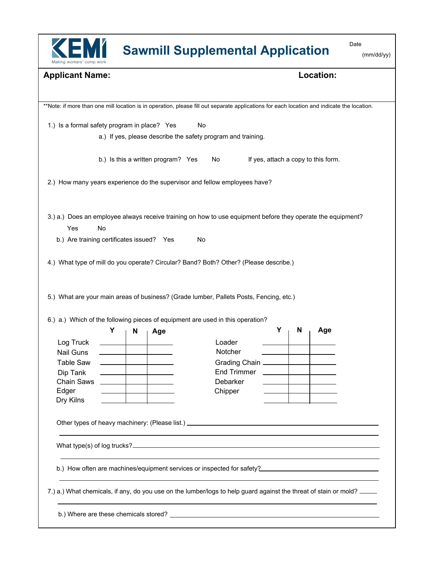

## **Sawmill Supplemental Application**

Date

| (mm/dd/yy) |  |
|------------|--|
|------------|--|

| <b>Applicant Name:</b>                                                                                                                                                   |    |   |                                    |    | Location:                                                                                                                                  |                                     |   |     |  |
|--------------------------------------------------------------------------------------------------------------------------------------------------------------------------|----|---|------------------------------------|----|--------------------------------------------------------------------------------------------------------------------------------------------|-------------------------------------|---|-----|--|
|                                                                                                                                                                          |    |   |                                    |    |                                                                                                                                            |                                     |   |     |  |
|                                                                                                                                                                          |    |   |                                    |    | **Note: if more than one mill location is in operation, please fill out separate applications for each location and indicate the location. |                                     |   |     |  |
| 1.) Is a formal safety program in place? Yes                                                                                                                             |    |   |                                    | No |                                                                                                                                            |                                     |   |     |  |
|                                                                                                                                                                          |    |   |                                    |    | a.) If yes, please describe the safety program and training.                                                                               |                                     |   |     |  |
|                                                                                                                                                                          |    |   | b.) Is this a written program? Yes |    | No                                                                                                                                         | If yes, attach a copy to this form. |   |     |  |
| 2.) How many years experience do the supervisor and fellow employees have?                                                                                               |    |   |                                    |    |                                                                                                                                            |                                     |   |     |  |
|                                                                                                                                                                          |    |   |                                    |    | 3.) a.) Does an employee always receive training on how to use equipment before they operate the equipment?                                |                                     |   |     |  |
| Yes                                                                                                                                                                      | No |   |                                    |    |                                                                                                                                            |                                     |   |     |  |
| b.) Are training certificates issued? Yes                                                                                                                                |    |   |                                    | No |                                                                                                                                            |                                     |   |     |  |
|                                                                                                                                                                          |    |   |                                    |    |                                                                                                                                            |                                     |   |     |  |
|                                                                                                                                                                          | Υ  | N |                                    |    |                                                                                                                                            | Υ                                   | N | Age |  |
|                                                                                                                                                                          |    |   | Age                                |    |                                                                                                                                            |                                     |   |     |  |
| Log Truck<br>Nail Guns                                                                                                                                                   |    |   |                                    |    | Loader<br>Notcher                                                                                                                          |                                     |   |     |  |
| <b>Table Saw</b>                                                                                                                                                         |    |   |                                    |    | Grading Chain                                                                                                                              |                                     |   |     |  |
| Dip Tank                                                                                                                                                                 |    |   |                                    |    | <b>End Trimmer</b>                                                                                                                         |                                     |   |     |  |
| Chain Saws                                                                                                                                                               |    |   |                                    |    | Debarker                                                                                                                                   |                                     |   |     |  |
| Edger                                                                                                                                                                    |    |   |                                    |    | Chipper                                                                                                                                    |                                     |   |     |  |
| Dry Kilns                                                                                                                                                                |    |   |                                    |    |                                                                                                                                            |                                     |   |     |  |
|                                                                                                                                                                          |    |   |                                    |    |                                                                                                                                            |                                     |   |     |  |
|                                                                                                                                                                          |    |   |                                    |    |                                                                                                                                            |                                     |   |     |  |
| 5.) What are your main areas of business? (Grade lumber, Pallets Posts, Fencing, etc.)<br>6.) a.) Which of the following pieces of equipment are used in this operation? |    |   |                                    |    |                                                                                                                                            |                                     |   |     |  |
|                                                                                                                                                                          |    |   |                                    |    | b.) How often are machines/equipment services or inspected for safety?                                                                     |                                     |   |     |  |
|                                                                                                                                                                          |    |   |                                    |    |                                                                                                                                            |                                     |   |     |  |
| 7.) a.) What chemicals, if any, do you use on the lumber/logs to help guard against the threat of stain or mold? ____                                                    |    |   |                                    |    |                                                                                                                                            |                                     |   |     |  |